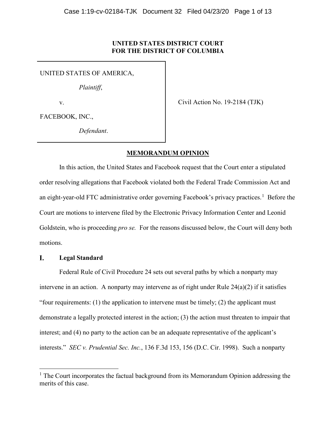# **UNITED STATES DISTRICT COURT FOR THE DISTRICT OF COLUMBIA**

UNITED STATES OF AMERICA,

*Plaintiff*,

v.

Civil Action No. 19-2184 (TJK)

FACEBOOK, INC.,

*Defendant*.

# **MEMORANDUM OPINION**

In this action, the United States and Facebook request that the Court enter a stipulated order resolving allegations that Facebook violated both the Federal Trade Commission Act and an eight-year-old FTC administrative order governing Facebook's privacy practices.<sup>[1](#page-0-0)</sup> Before the Court are motions to intervene filed by the Electronic Privacy Information Center and Leonid Goldstein, who is proceeding *pro se.* For the reasons discussed below, the Court will deny both motions.

#### I. **Legal Standard**

Federal Rule of Civil Procedure 24 sets out several paths by which a nonparty may intervene in an action. A nonparty may intervene as of right under Rule 24(a)(2) if it satisfies "four requirements: (1) the application to intervene must be timely; (2) the applicant must demonstrate a legally protected interest in the action; (3) the action must threaten to impair that interest; and (4) no party to the action can be an adequate representative of the applicant's interests." *SEC v. Prudential Sec. Inc.*, 136 F.3d 153, 156 (D.C. Cir. 1998). Such a nonparty

<span id="page-0-0"></span> $<sup>1</sup>$  The Court incorporates the factual background from its Memorandum Opinion addressing the</sup> merits of this case.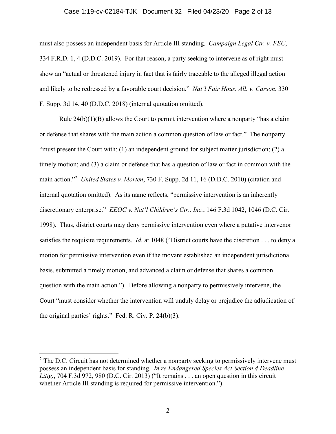### Case 1:19-cv-02184-TJK Document 32 Filed 04/23/20 Page 2 of 13

must also possess an independent basis for Article III standing. *Campaign Legal Ctr. v. FEC*, 334 F.R.D. 1, 4 (D.D.C. 2019). For that reason, a party seeking to intervene as of right must show an "actual or threatened injury in fact that is fairly traceable to the alleged illegal action and likely to be redressed by a favorable court decision." *Nat'l Fair Hous. All. v. Carson*, 330 F. Supp. 3d 14, 40 (D.D.C. 2018) (internal quotation omitted).

Rule  $24(b)(1)(B)$  allows the Court to permit intervention where a nonparty "has a claim" or defense that shares with the main action a common question of law or fact." The nonparty "must present the Court with: (1) an independent ground for subject matter jurisdiction; (2) a timely motion; and (3) a claim or defense that has a question of law or fact in common with the main action."[2](#page-1-0) *United States v. Morten*, 730 F. Supp. 2d 11, 16 (D.D.C. 2010) (citation and internal quotation omitted). As its name reflects, "permissive intervention is an inherently discretionary enterprise." *EEOC v. Nat'l Children's Ctr., Inc.*, 146 F.3d 1042, 1046 (D.C. Cir. 1998). Thus, district courts may deny permissive intervention even where a putative intervenor satisfies the requisite requirements. *Id.* at 1048 ("District courts have the discretion . . . to deny a motion for permissive intervention even if the movant established an independent jurisdictional basis, submitted a timely motion, and advanced a claim or defense that shares a common question with the main action."). Before allowing a nonparty to permissively intervene, the Court "must consider whether the intervention will unduly delay or prejudice the adjudication of the original parties' rights." Fed. R. Civ. P. 24(b)(3).

<span id="page-1-0"></span> $2$  The D.C. Circuit has not determined whether a nonparty seeking to permissively intervene must possess an independent basis for standing. *In re Endangered Species Act Section 4 Deadline Litig.*, 704 F.3d 972, 980 (D.C. Cir. 2013) ("It remains . . . an open question in this circuit whether Article III standing is required for permissive intervention.").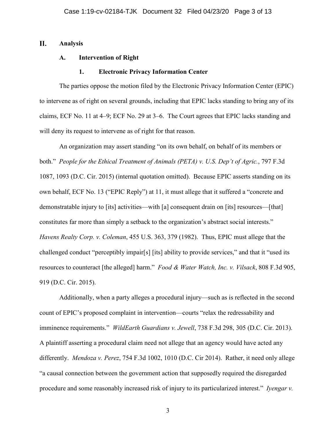#### II. **Analysis**

# **A. Intervention of Right**

### **1. Electronic Privacy Information Center**

The parties oppose the motion filed by the Electronic Privacy Information Center (EPIC) to intervene as of right on several grounds, including that EPIC lacks standing to bring any of its claims, ECF No. 11 at 4–9; ECF No. 29 at 3–6. The Court agrees that EPIC lacks standing and will deny its request to intervene as of right for that reason.

An organization may assert standing "on its own behalf, on behalf of its members or both." *People for the Ethical Treatment of Animals (PETA) v. U.S. Dep't of Agric.*, 797 F.3d 1087, 1093 (D.C. Cir. 2015) (internal quotation omitted). Because EPIC asserts standing on its own behalf, ECF No. 13 ("EPIC Reply") at 11, it must allege that it suffered a "concrete and demonstratable injury to [its] activities—with [a] consequent drain on [its] resources—[that] constitutes far more than simply a setback to the organization's abstract social interests." *Havens Realty Corp. v. Coleman*, 455 U.S. 363, 379 (1982). Thus, EPIC must allege that the challenged conduct "perceptibly impair[s] [its] ability to provide services," and that it "used its resources to counteract [the alleged] harm." *Food & Water Watch, Inc. v. Vilsack*, 808 F.3d 905, 919 (D.C. Cir. 2015).

Additionally, when a party alleges a procedural injury—such as is reflected in the second count of EPIC's proposed complaint in intervention—courts "relax the redressability and imminence requirements." *WildEarth Guardians v. Jewell*, 738 F.3d 298, 305 (D.C. Cir. 2013). A plaintiff asserting a procedural claim need not allege that an agency would have acted any differently. *Mendoza v. Perez*, 754 F.3d 1002, 1010 (D.C. Cir 2014). Rather, it need only allege "a causal connection between the government action that supposedly required the disregarded procedure and some reasonably increased risk of injury to its particularized interest." *Iyengar v.*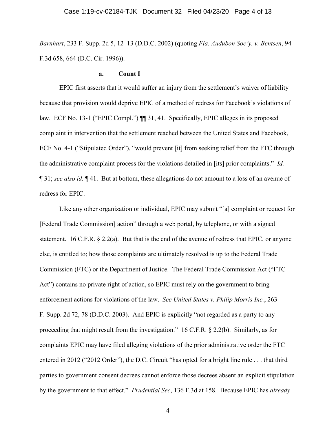*Barnhart*, 233 F. Supp. 2d 5, 12–13 (D.D.C. 2002) (quoting *Fla. Audubon Soc'y. v. Bentsen*, 94 F.3d 658, 664 (D.C. Cir. 1996)).

## **a. Count I**

EPIC first asserts that it would suffer an injury from the settlement's waiver of liability because that provision would deprive EPIC of a method of redress for Facebook's violations of law. ECF No. 13-1 ("EPIC Compl.")  $\P$  31, 41. Specifically, EPIC alleges in its proposed complaint in intervention that the settlement reached between the United States and Facebook, ECF No. 4-1 ("Stipulated Order"), "would prevent [it] from seeking relief from the FTC through the administrative complaint process for the violations detailed in [its] prior complaints." *Id.* ¶ 31; *see also id.* ¶ 41. But at bottom, these allegations do not amount to a loss of an avenue of redress for EPIC.

Like any other organization or individual, EPIC may submit "[a] complaint or request for [Federal Trade Commission] action" through a web portal, by telephone, or with a signed statement. 16 C.F.R. § 2.2(a). But that is the end of the avenue of redress that EPIC, or anyone else, is entitled to; how those complaints are ultimately resolved is up to the Federal Trade Commission (FTC) or the Department of Justice. The Federal Trade Commission Act ("FTC Act") contains no private right of action, so EPIC must rely on the government to bring enforcement actions for violations of the law. *See United States v. Philip Morris Inc.*, 263 F. Supp. 2d 72, 78 (D.D.C. 2003). And EPIC is explicitly "not regarded as a party to any proceeding that might result from the investigation." 16 C.F.R. § 2.2(b). Similarly, as for complaints EPIC may have filed alleging violations of the prior administrative order the FTC entered in 2012 ("2012 Order"), the D.C. Circuit "has opted for a bright line rule . . . that third parties to government consent decrees cannot enforce those decrees absent an explicit stipulation by the government to that effect." *Prudential Sec*, 136 F.3d at 158. Because EPIC has *already*

4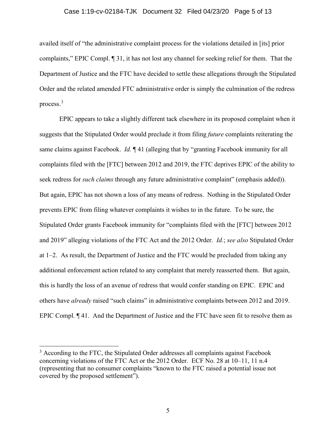### Case 1:19-cv-02184-TJK Document 32 Filed 04/23/20 Page 5 of 13

availed itself of "the administrative complaint process for the violations detailed in [its] prior complaints," EPIC Compl. ¶ 31, it has not lost any channel for seeking relief for them. That the Department of Justice and the FTC have decided to settle these allegations through the Stipulated Order and the related amended FTC administrative order is simply the culmination of the redress process.[3](#page-4-0)

EPIC appears to take a slightly different tack elsewhere in its proposed complaint when it suggests that the Stipulated Order would preclude it from filing *future* complaints reiterating the same claims against Facebook. *Id.* ¶ 41 (alleging that by "granting Facebook immunity for all complaints filed with the [FTC] between 2012 and 2019, the FTC deprives EPIC of the ability to seek redress for *such claims* through any future administrative complaint" (emphasis added)). But again, EPIC has not shown a loss of any means of redress. Nothing in the Stipulated Order prevents EPIC from filing whatever complaints it wishes to in the future. To be sure, the Stipulated Order grants Facebook immunity for "complaints filed with the [FTC] between 2012 and 2019" alleging violations of the FTC Act and the 2012 Order. *Id.*; *see also* Stipulated Order at 1–2. As result, the Department of Justice and the FTC would be precluded from taking any additional enforcement action related to any complaint that merely reasserted them. But again, this is hardly the loss of an avenue of redress that would confer standing on EPIC. EPIC and others have *already* raised "such claims" in administrative complaints between 2012 and 2019. EPIC Compl. ¶ 41. And the Department of Justice and the FTC have seen fit to resolve them as

<span id="page-4-0"></span><sup>&</sup>lt;sup>3</sup> According to the FTC, the Stipulated Order addresses all complaints against Facebook concerning violations of the FTC Act or the 2012 Order. ECF No. 28 at 10–11, 11 n.4 (representing that no consumer complaints "known to the FTC raised a potential issue not covered by the proposed settlement").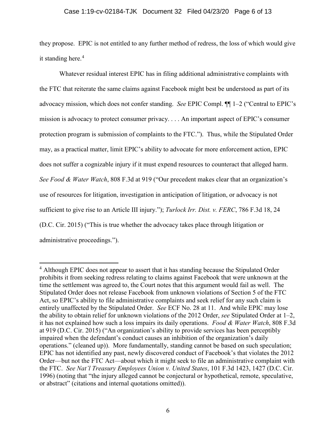## Case 1:19-cv-02184-TJK Document 32 Filed 04/23/20 Page 6 of 13

they propose. EPIC is not entitled to any further method of redress, the loss of which would give it standing here.<sup>[4](#page-5-0)</sup>

Whatever residual interest EPIC has in filing additional administrative complaints with the FTC that reiterate the same claims against Facebook might best be understood as part of its advocacy mission, which does not confer standing. *See* EPIC Compl. ¶¶ 1–2 ("Central to EPIC's mission is advocacy to protect consumer privacy. . . . An important aspect of EPIC's consumer protection program is submission of complaints to the FTC."). Thus, while the Stipulated Order may, as a practical matter, limit EPIC's ability to advocate for more enforcement action, EPIC does not suffer a cognizable injury if it must expend resources to counteract that alleged harm. *See Food & Water Watch*, 808 F.3d at 919 ("Our precedent makes clear that an organization's use of resources for litigation, investigation in anticipation of litigation, or advocacy is not sufficient to give rise to an Article III injury."); *Turlock Irr. Dist. v. FERC*, 786 F.3d 18, 24 (D.C. Cir. 2015) ("This is true whether the advocacy takes place through litigation or administrative proceedings.").

<span id="page-5-0"></span><sup>&</sup>lt;sup>4</sup> Although EPIC does not appear to assert that it has standing because the Stipulated Order prohibits it from seeking redress relating to claims against Facebook that were unknown at the time the settlement was agreed to, the Court notes that this argument would fail as well. The Stipulated Order does not release Facebook from unknown violations of Section 5 of the FTC Act, so EPIC's ability to file administrative complaints and seek relief for any such claim is entirely unaffected by the Stipulated Order. *See* ECF No. 28 at 11. And while EPIC may lose the ability to obtain relief for unknown violations of the 2012 Order, *see* Stipulated Order at 1–2, it has not explained how such a loss impairs its daily operations. *Food & Water Watch*, 808 F.3d at 919 (D.C. Cir. 2015) ("An organization's ability to provide services has been perceptibly impaired when the defendant's conduct causes an inhibition of the organization's daily operations." (cleaned up)). More fundamentally, standing cannot be based on such speculation; EPIC has not identified any past, newly discovered conduct of Facebook's that violates the 2012 Order—but not the FTC Act—about which it might seek to file an administrative complaint with the FTC. *See Nat'l Treasury Employees Union v. United States*, 101 F.3d 1423, 1427 (D.C. Cir. 1996) (noting that "the injury alleged cannot be conjectural or hypothetical, remote, speculative, or abstract" (citations and internal quotations omitted)).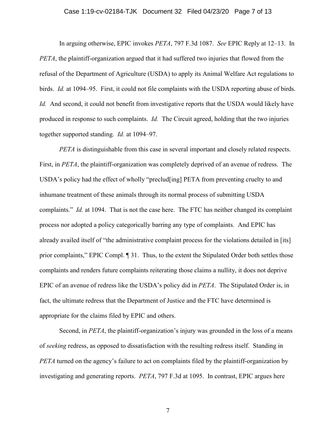### Case 1:19-cv-02184-TJK Document 32 Filed 04/23/20 Page 7 of 13

In arguing otherwise, EPIC invokes *PETA*, 797 F.3d 1087. *See* EPIC Reply at 12–13. In *PETA*, the plaintiff-organization argued that it had suffered two injuries that flowed from the refusal of the Department of Agriculture (USDA) to apply its Animal Welfare Act regulations to birds. *Id.* at 1094–95. First, it could not file complaints with the USDA reporting abuse of birds. *Id.* And second, it could not benefit from investigative reports that the USDA would likely have produced in response to such complaints. *Id.* The Circuit agreed, holding that the two injuries together supported standing. *Id.* at 1094–97.

*PETA* is distinguishable from this case in several important and closely related respects. First, in *PETA*, the plaintiff-organization was completely deprived of an avenue of redress. The USDA's policy had the effect of wholly "preclud[ing] PETA from preventing cruelty to and inhumane treatment of these animals through its normal process of submitting USDA complaints." *Id.* at 1094. That is not the case here. The FTC has neither changed its complaint process nor adopted a policy categorically barring any type of complaints. And EPIC has already availed itself of "the administrative complaint process for the violations detailed in [its] prior complaints," EPIC Compl. ¶ 31. Thus, to the extent the Stipulated Order both settles those complaints and renders future complaints reiterating those claims a nullity, it does not deprive EPIC of an avenue of redress like the USDA's policy did in *PETA*. The Stipulated Order is, in fact, the ultimate redress that the Department of Justice and the FTC have determined is appropriate for the claims filed by EPIC and others.

Second, in *PETA*, the plaintiff-organization's injury was grounded in the loss of a means of *seeking* redress, as opposed to dissatisfaction with the resulting redress itself. Standing in *PETA* turned on the agency's failure to act on complaints filed by the plaintiff-organization by investigating and generating reports. *PETA*, 797 F.3d at 1095. In contrast, EPIC argues here

7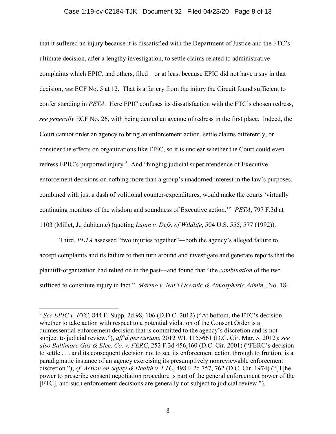### Case 1:19-cv-02184-TJK Document 32 Filed 04/23/20 Page 8 of 13

that it suffered an injury because it is dissatisfied with the Department of Justice and the FTC's ultimate decision, after a lengthy investigation, to settle claims related to administrative complaints which EPIC, and others, filed—or at least because EPIC did not have a say in that decision, *see* ECF No. 5 at 12. That is a far cry from the injury the Circuit found sufficient to confer standing in *PETA*. Here EPIC confuses its dissatisfaction with the FTC's chosen redress, *see generally* ECF No. 26, with being denied an avenue of redress in the first place. Indeed, the Court cannot order an agency to bring an enforcement action, settle claims differently, or consider the effects on organizations like EPIC, so it is unclear whether the Court could even redress EPIC's purported injury.<sup>[5](#page-7-0)</sup> And "hinging judicial superintendence of Executive enforcement decisions on nothing more than a group's unadorned interest in the law's purposes, combined with just a dash of volitional counter-expenditures, would make the courts 'virtually continuing monitors of the wisdom and soundness of Executive action.'" *PETA*, 797 F.3d at 1103 (Millet, J., dubitante) (quoting *Lujan v. Defs. of Wildlife*, 504 U.S. 555, 577 (1992)).

Third, *PETA* assessed "two injuries together"—both the agency's alleged failure to accept complaints and its failure to then turn around and investigate and generate reports that the plaintiff-organization had relied on in the past—and found that "the *combination* of the two . . . sufficed to constitute injury in fact." *Marino v. Nat'l Oceanic & Atmospheric Admin.*, No. 18-

<span id="page-7-0"></span> $5$  *See EPIC v. FTC*, 844 F. Supp. 2d 98, 106 (D.D.C. 2012) ("At bottom, the FTC's decision whether to take action with respect to a potential violation of the Consent Order is a quintessential enforcement decision that is committed to the agency's discretion and is not subject to judicial review."), *aff'd per curiam*, 2012 WL 1155661 (D.C. Cir. Mar. 5, 2012); *see also Baltimore Gas & Elec. Co. v. FERC*, 252 F.3d 456,460 (D.C. Cir. 2001) ("FERC's decision to settle . . . and its consequent decision not to see its enforcement action through to fruition, is a paradigmatic instance of an agency exercising its presumptively nonreviewable enforcement discretion."); *cf. Action on Safety & Health v. FTC*, 498 F.2d 757, 762 (D.C. Cir. 1974) ("[T]he power to prescribe consent negotiation procedure is part of the general enforcement power of the [FTC], and such enforcement decisions are generally not subject to judicial review.").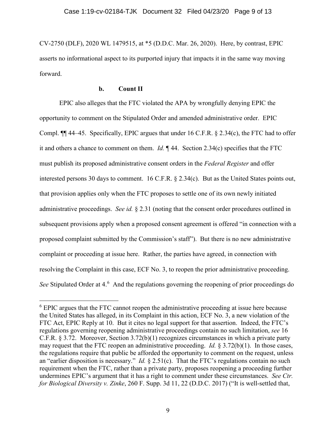CV-2750 (DLF), 2020 WL 1479515, at \*5 (D.D.C. Mar. 26, 2020). Here, by contrast, EPIC asserts no informational aspect to its purported injury that impacts it in the same way moving forward.

# **b. Count II**

EPIC also alleges that the FTC violated the APA by wrongfully denying EPIC the opportunity to comment on the Stipulated Order and amended administrative order. EPIC Compl. ¶¶ 44–45. Specifically, EPIC argues that under 16 C.F.R. § 2.34(c), the FTC had to offer it and others a chance to comment on them. *Id.* ¶ 44. Section 2.34(c) specifies that the FTC must publish its proposed administrative consent orders in the *Federal Register* and offer interested persons 30 days to comment. 16 C.F.R. § 2.34(c).But as the United States points out, that provision applies only when the FTC proposes to settle one of its own newly initiated administrative proceedings. *See id.* § 2.31 (noting that the consent order procedures outlined in subsequent provisions apply when a proposed consent agreement is offered "in connection with a proposed complaint submitted by the Commission's staff"). But there is no new administrative complaint or proceeding at issue here. Rather, the parties have agreed, in connection with resolving the Complaint in this case, ECF No. 3, to reopen the prior administrative proceeding. See Stipulated Order at 4.<sup>[6](#page-8-0)</sup> And the regulations governing the reopening of prior proceedings do

<span id="page-8-0"></span><sup>&</sup>lt;sup>6</sup> EPIC argues that the FTC cannot reopen the administrative proceeding at issue here because the United States has alleged, in its Complaint in this action, ECF No. 3, a new violation of the FTC Act, EPIC Reply at 10. But it cites no legal support for that assertion. Indeed, the FTC's regulations governing reopening administrative proceedings contain no such limitation, *see* 16 C.F.R. § 3.72. Moreover, Section 3.72(b)(1) recognizes circumstances in which a private party may request that the FTC reopen an administrative proceeding. *Id.* § 3.72(b)(1). In those cases, the regulations require that public be afforded the opportunity to comment on the request, unless an "earlier disposition is necessary." *Id.* § 2.51(c). That the FTC's regulations contain no such requirement when the FTC, rather than a private party, proposes reopening a proceeding further undermines EPIC's argument that it has a right to comment under these circumstances. *See Ctr. for Biological Diversity v. Zinke*, 260 F. Supp. 3d 11, 22 (D.D.C. 2017) ("It is well-settled that,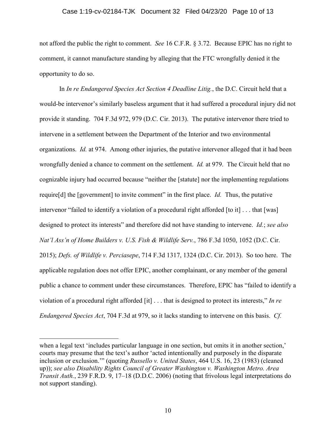### Case 1:19-cv-02184-TJK Document 32 Filed 04/23/20 Page 10 of 13

not afford the public the right to comment. *See* 16 C.F.R. § 3.72. Because EPIC has no right to comment, it cannot manufacture standing by alleging that the FTC wrongfully denied it the opportunity to do so.

In *In re Endangered Species Act Section 4 Deadline Litig.*, the D.C. Circuit held that a would-be intervenor's similarly baseless argument that it had suffered a procedural injury did not provide it standing. 704 F.3d 972, 979 (D.C. Cir. 2013). The putative intervenor there tried to intervene in a settlement between the Department of the Interior and two environmental organizations. *Id.* at 974. Among other injuries, the putative intervenor alleged that it had been wrongfully denied a chance to comment on the settlement. *Id.* at 979. The Circuit held that no cognizable injury had occurred because "neither the [statute] nor the implementing regulations require[d] the [government] to invite comment" in the first place. *Id.* Thus, the putative intervenor "failed to identify a violation of a procedural right afforded [to it] . . . that [was] designed to protect its interests" and therefore did not have standing to intervene. *Id.*; *see also Nat'l Ass'n of Home Builders v. U.S. Fish & Wildlife Serv.*, 786 F.3d 1050, 1052 (D.C. Cir. 2015); *Defs. of Wildlife v. Perciasepe*, 714 F.3d 1317, 1324 (D.C. Cir. 2013). So too here. The applicable regulation does not offer EPIC, another complainant, or any member of the general public a chance to comment under these circumstances. Therefore, EPIC has "failed to identify a violation of a procedural right afforded [it] . . . that is designed to protect its interests," *In re Endangered Species Act*, 704 F.3d at 979, so it lacks standing to intervene on this basis. *Cf.*

 $\overline{a}$ 

when a legal text 'includes particular language in one section, but omits it in another section,' courts may presume that the text's author 'acted intentionally and purposely in the disparate inclusion or exclusion.'" (quoting *Russello v. United States*, 464 U.S. 16, 23 (1983) (cleaned up)); *see also Disability Rights Council of Greater Washington v. Washington Metro. Area Transit Auth.*, 239 F.R.D. 9, 17–18 (D.D.C. 2006) (noting that frivolous legal interpretations do not support standing).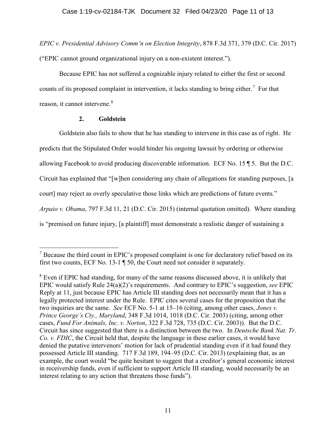*EPIC v. Presidential Advisory Comm'n on Election Integrity*, 878 F.3d 371, 379 (D.C. Cir. 2017) ("EPIC cannot ground organizational injury on a non-existent interest.").

Because EPIC has not suffered a cognizable injury related to either the first or second counts of its proposed complaint in intervention, it lacks standing to bring either.<sup>[7](#page-10-0)</sup> For that reason, it cannot intervene.<sup>[8](#page-10-1)</sup>

# **2. Goldstein**

Goldstein also fails to show that he has standing to intervene in this case as of right. He predicts that the Stipulated Order would hinder his ongoing lawsuit by ordering or otherwise allowing Facebook to avoid producing discoverable information. ECF No. 15 ¶ 5. But the D.C. Circuit has explained that "[w]hen considering any chain of allegations for standing purposes, [a court] may reject as overly speculative those links which are predictions of future events." *Arpaio v. Obama*, 797 F.3d 11, 21 (D.C. Cir. 2015) (internal quotation omitted). Where standing is "premised on future injury, [a plaintiff] must demonstrate a realistic danger of sustaining a

<span id="page-10-0"></span> $<sup>7</sup>$  Because the third count in EPIC's proposed complaint is one for declaratory relief based on its</sup> first two counts, ECF No. 13-1 ¶ 50, the Court need not consider it separately.

<span id="page-10-1"></span><sup>&</sup>lt;sup>8</sup> Even if EPIC had standing, for many of the same reasons discussed above, it is unlikely that EPIC would satisfy Rule 24(a)(2)'s requirements. And contrary to EPIC's suggestion, *see* EPIC Reply at 11, just because EPIC has Article III standing does not necessarily mean that it has a legally protected interest under the Rule. EPIC cites several cases for the proposition that the two inquiries are the same. *See* ECF No. 5-1 at 15–16 (citing, among other cases, *Jones v. Prince George's Cty., Maryland*, 348 F.3d 1014, 1018 (D.C. Cir. 2003) (citing, among other cases, *Fund For Animals, Inc. v. Norton*, 322 F.3d 728, 735 (D.C. Cir. 2003)). But the D.C. Circuit has since suggested that there is a distinction between the two. In *Deutsche Bank Nat. Tr. Co. v. FDIC*, the Circuit held that, despite the language in these earlier cases, it would have denied the putative intervenors' motion for lack of prudential standing even if it had found they possessed Article III standing. 717 F.3d 189, 194–95 (D.C. Cir. 2013) (explaining that, as an example, the court would "be quite hesitant to suggest that a creditor's general economic interest in receivership funds, even if sufficient to support Article III standing, would necessarily be an interest relating to any action that threatens those funds").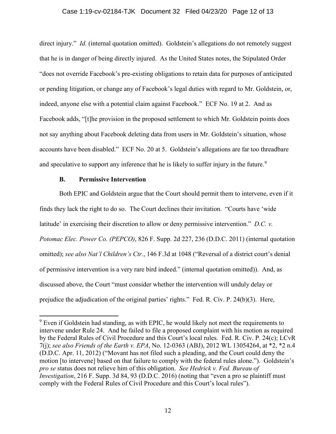### Case 1:19-cv-02184-TJK Document 32 Filed 04/23/20 Page 12 of 13

direct injury." *Id.* (internal quotation omitted). Goldstein's allegations do not remotely suggest that he is in danger of being directly injured. As the United States notes, the Stipulated Order "does not override Facebook's pre-existing obligations to retain data for purposes of anticipated or pending litigation, or change any of Facebook's legal duties with regard to Mr. Goldstein, or, indeed, anyone else with a potential claim against Facebook." ECF No. 19 at 2. And as Facebook adds, "[t]he provision in the proposed settlement to which Mr. Goldstein points does not say anything about Facebook deleting data from users in Mr. Goldstein's situation, whose accounts have been disabled." ECF No. 20 at 5. Goldstein's allegations are far too threadbare and speculative to support any inference that he is likely to suffer injury in the future.<sup>[9](#page-11-0)</sup>

# **B. Permissive Intervention**

Both EPIC and Goldstein argue that the Court should permit them to intervene, even if it finds they lack the right to do so. The Court declines their invitation. "Courts have 'wide latitude' in exercising their discretion to allow or deny permissive intervention." *D.C. v. Potomac Elec. Power Co. (PEPCO)*, 826 F. Supp. 2d 227, 236 (D.D.C. 2011) (internal quotation omitted); *see also Nat'l Children's Ctr.*, 146 F.3d at 1048 ("Reversal of a district court's denial of permissive intervention is a very rare bird indeed." (internal quotation omitted)). And, as discussed above, the Court "must consider whether the intervention will unduly delay or prejudice the adjudication of the original parties' rights." Fed. R. Civ. P. 24(b)(3). Here,

<span id="page-11-0"></span><sup>&</sup>lt;sup>9</sup> Even if Goldstein had standing, as with EPIC, he would likely not meet the requirements to intervene under Rule 24. And he failed to file a proposed complaint with his motion as required by the Federal Rules of Civil Procedure and this Court's local rules. Fed. R. Civ. P. 24(c); LCvR 7(j); *see also Friends of the Earth v. EPA*, No. 12-0363 (ABJ), 2012 WL 13054264, at \*2, \*2 n.4 (D.D.C. Apr. 11, 2012) ("Movant has not filed such a pleading, and the Court could deny the motion [to intervene] based on that failure to comply with the federal rules alone."). Goldstein's *pro se* status does not relieve him of this obligation. *See Hedrick v. Fed. Bureau of Investigation*, 216 F. Supp. 3d 84, 93 (D.D.C. 2016) (noting that "even a pro se plaintiff must comply with the Federal Rules of Civil Procedure and this Court's local rules").